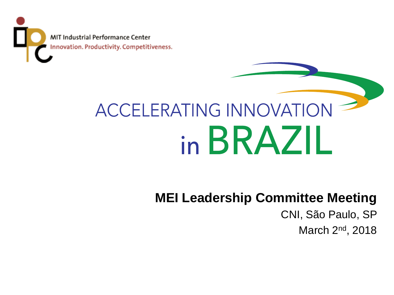MIT Industrial Performance Center Innovation. Productivity. Competitiveness.

# **ACCELERATING INNOVATION** in BRAZIL

## **MEI Leadership Committee Meeting**

CNI, São Paulo, SP

March 2<sup>nd</sup>, 2018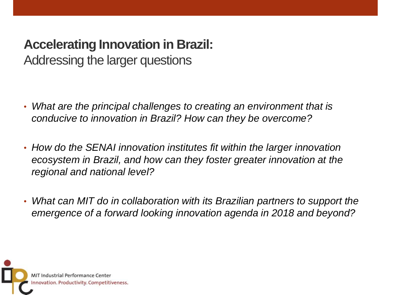## **Accelerating Innovation in Brazil:**

Addressing the larger questions

- *What are the principal challenges to creating an environment that is conducive to innovation in Brazil? How can they be overcome?*
- *How do the SENAI innovation institutes fit within the larger innovation ecosystem in Brazil, and how can they foster greater innovation at the regional and national level?*
- *What can MIT do in collaboration with its Brazilian partners to support the emergence of a forward looking innovation agenda in 2018 and beyond?*

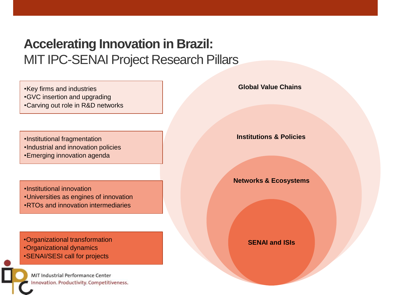### **Accelerating Innovation in Brazil: MIT IPC-SENAI Project Research Pillars**

•Key firms and industries **Global Value Chains**

- •GVC insertion and upgrading
- •Carving out role in R&D networks

•Institutional fragmentation

- •Industrial and innovation policies
- •Emerging innovation agenda

•Institutional innovation •Universities as engines of innovation •RTOs and innovation intermediaries

•Organizational transformation •Organizational dynamics •SENAI/SESI call for projects

MIT Industrial Performance Center Innovation. Productivity. Competitiveness.

**Institutions & Policies**

**Networks & Ecosystems**

**SENAI and ISIs**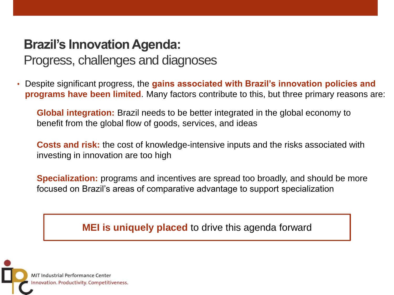## **Brazil's Innovation Agenda:**

#### Progress, challenges and diagnoses

• Despite significant progress, the **gains associated with Brazil's innovation policies and programs have been limited**. Many factors contribute to this, but three primary reasons are:

**Global integration:** Brazil needs to be better integrated in the global economy to benefit from the global flow of goods, services, and ideas

**Costs and risk:** the cost of knowledge-intensive inputs and the risks associated with investing in innovation are too high

**Specialization:** programs and incentives are spread too broadly, and should be more focused on Brazil's areas of comparative advantage to support specialization

**MEI is uniquely placed** to drive this agenda forward

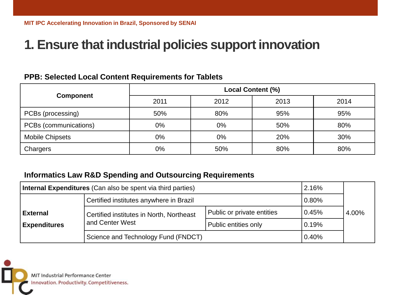#### **1. Ensure that industrial policies support innovation**

#### **PPB: Selected Local Content Requirements for Tablets**

| <b>Component</b>       | <b>Local Content (%)</b> |       |      |      |  |
|------------------------|--------------------------|-------|------|------|--|
|                        | 2011                     | 2012  | 2013 | 2014 |  |
| PCBs (processing)      | 50%                      | 80%   | 95%  | 95%  |  |
| PCBs (communications)  | 0%                       | $0\%$ | 50%  | 80%  |  |
| <b>Mobile Chipsets</b> | 0%                       | 0%    | 20%  | 30%  |  |
| Chargers               | 0%                       | 50%   | 80%  | 80%  |  |

#### **Informatics Law R&D Spending and Outsourcing Requirements**

| Internal Expenditures (Can also be spent via third parties) |                                                             |                            |       |       |
|-------------------------------------------------------------|-------------------------------------------------------------|----------------------------|-------|-------|
|                                                             | Certified institutes anywhere in Brazil                     | 0.80%                      |       |       |
| <b>External</b>                                             | Certified institutes in North, Northeast<br>and Center West | Public or private entities | 0.45% | 4.00% |
| <b>Expenditures</b>                                         |                                                             | Public entities only       | 0.19% |       |
|                                                             | Science and Technology Fund (FNDCT)                         | 0.40%                      |       |       |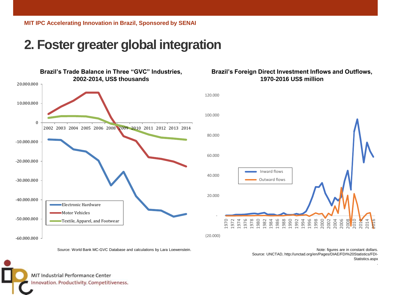**MIT IPC Accelerating Innovation in Brazil, Sponsored by SENAI**

#### **2. Foster greater global integration**



#### **Brazil's Foreign Direct Investment Inflows and Outflows, 1970-2016 US\$ million**



Source: World Bank MC-GVC Database and calculations by Lara Loewenstein.

Note: figures are in constant dollars. Source: UNCTAD, http://unctad.org/en/Pages/DIAE/FDI%20Statistics/FDI-Statistics.aspx

.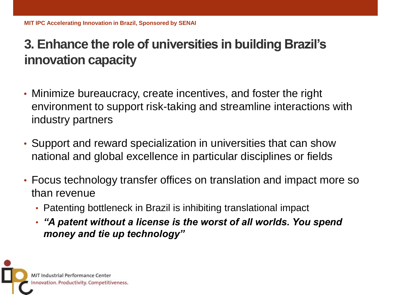#### **3. Enhance the role of universities in building Brazil's innovation capacity**

- Minimize bureaucracy, create incentives, and foster the right environment to support risk-taking and streamline interactions with industry partners
- Support and reward specialization in universities that can show national and global excellence in particular disciplines or fields
- Focus technology transfer offices on translation and impact more so than revenue
	- Patenting bottleneck in Brazil is inhibiting translational impact
	- *"A patent without a license is the worst of all worlds. You spend money and tie up technology"*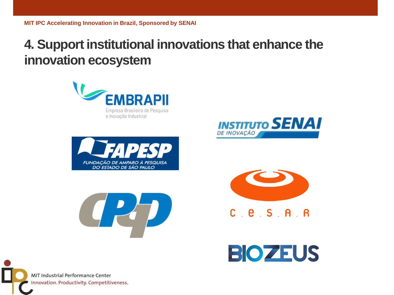#### **4. Support institutional innovations that enhance the innovation ecosystem**











 $C$   $C$   $S$   $A$   $R$ 

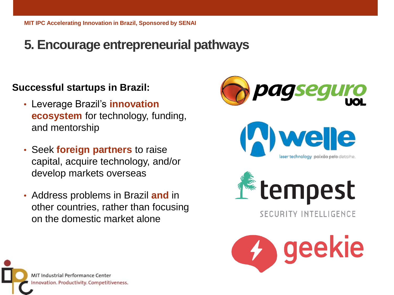#### **5. Encourage entrepreneurial pathways**

#### **Successful startups in Brazil:**

- Leverage Brazil's **innovation ecosystem** for technology, funding, and mentorship
- Seek **foreign partners** to raise capital, acquire technology, and/or develop markets overseas
- Address problems in Brazil **and** in other countries, rather than focusing on the domestic market alone



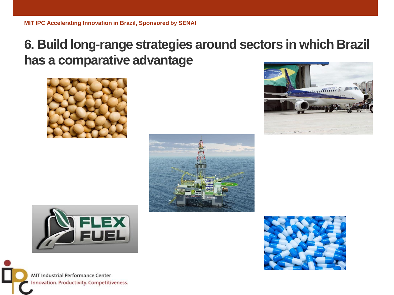#### **6. Build long-range strategies around sectors in which Brazil has a comparative advantage**









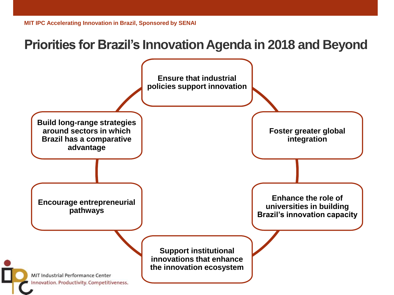#### **Priorities for Brazil's Innovation Agenda in 2018 and Beyond**